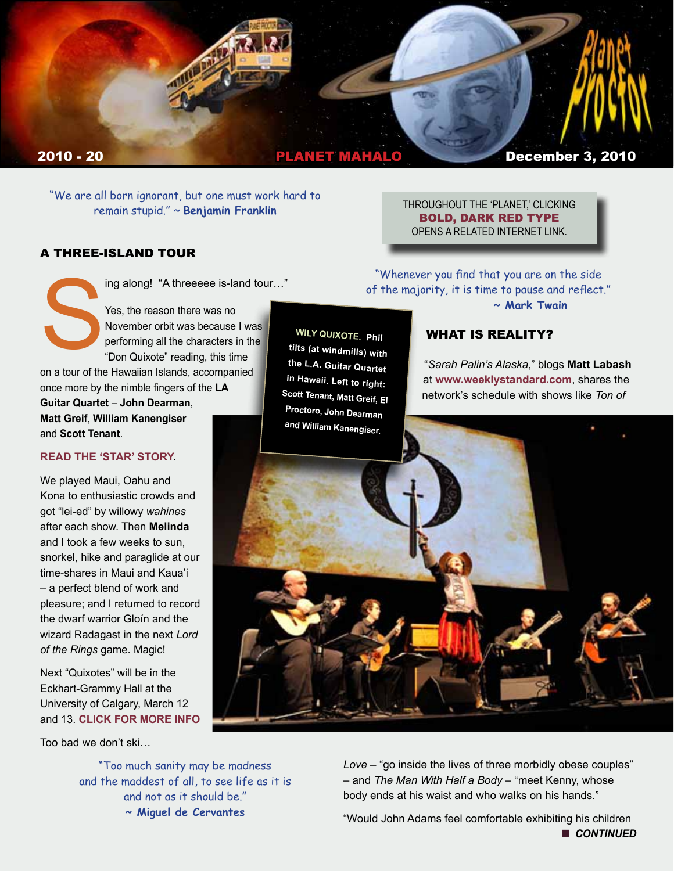

"We are all born ignorant, but one must work hard to remain stupid." ~ **Benjamin Franklin**

#### A THREE-ISLAND TOUR

Ing along! "A threeeee is-land tour..."<br>
Yes, the reason there was no<br>
November orbit was because I was<br>
performing all the characters in the<br>
"Don Quixote" reading, this time Yes, the reason there was no November orbit was because I was performing all the characters in the "Don Quixote" reading, this time on a tour of the Hawaiian Islands, accompanied once more by the nimble fingers of the **LA Guitar Quartet** – **John Dearman**, **Matt Greif**, **William Kanengiser** and **Scott Tenant**.

#### **[READ THE 'STAR' STORY](http://www.honolulupulse.com/tgifinprint/quixotic-drama-combines-music-narration).**

We played Maui, Oahu and Kona to enthusiastic crowds and got "lei-ed" by willowy *wahines* after each show. Then **Melinda** and I took a few weeks to sun, snorkel, hike and paraglide at our time-shares in Maui and Kaua'i – a perfect blend of work and pleasure; and I returned to record the dwarf warrior Gloín and the wizard Radagast in the next *Lord of the Rings* game. Magic!

Next "Quixotes" will be in the Eckhart-Grammy Hall at the University of Calgary, March 12 and 13. **[CLICK FOR MORE INFO](http://www.lagq.com/tour/2011/calgary-pro-musica-0)**

Too bad we don't ski…

"Too much sanity may be madness and the maddest of all, to see life as it is and not as it should be." **~ Miguel de Cervantes**

**WILY QUIXOTE. Phil tilts (at windmills) with the L.A. Guitar Quartet in Hawaii. Left to right: Scott Tenant, Matt Greif, El Proctoro, John Dearman and William Kanengiser.**

THROUGHOUT THE 'PLANET,' CLICKING BOLD, DARK RED TYPE OPENS A RELATED INTERNET LINK.

"Whenever you find that you are on the side of the majority, it is time to pause and reflect."

**~ Mark Twain**

## WHAT IS REALITY?

"*Sarah Palin's Alaska*," blogs **Matt Labash** at **[www.weeklystandard.com](http://www.weeklystandard.com)**, shares the network's schedule with shows like *Ton of* 



*Love* – "go inside the lives of three morbidly obese couples" – and *The Man With Half a Body* – "meet Kenny, whose body ends at his waist and who walks on his hands."

"Would John Adams feel comfortable exhibiting his children

**n** CONTINUED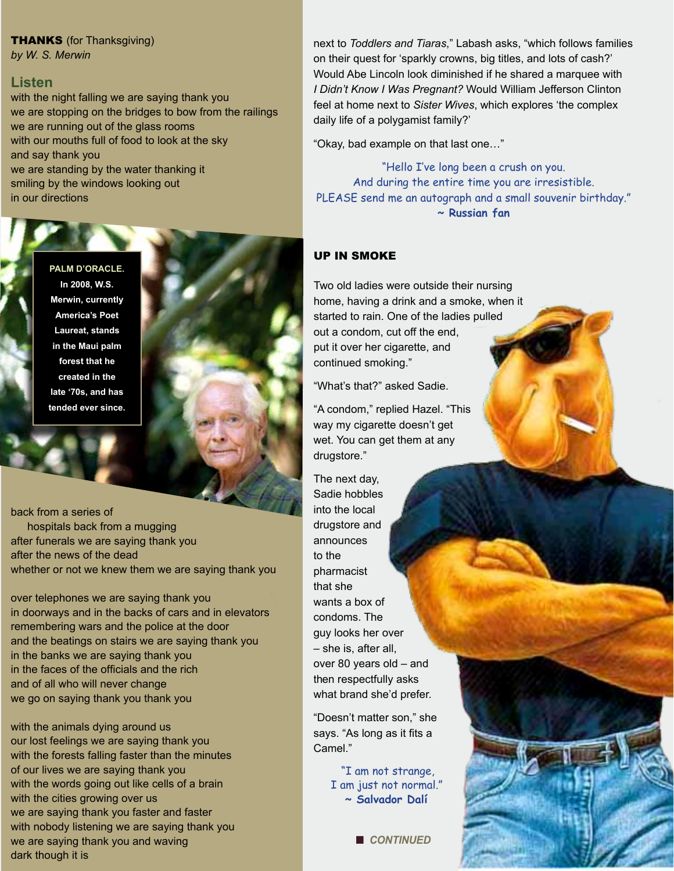**THANKS** (for Thanksgiving) *by W. S. Merwin* 

## **Listen**

with the night falling we are saying thank you we are stopping on the bridges to bow from the railings we are running out of the glass rooms with our mouths full of food to look at the sky and say thank you we are standing by the water thanking it smiling by the windows looking out

in our directions



back from a series of hospitals back from a mugging after funerals we are saying thank you after the news of the dead whether or not we knew them we are saying thank you

over telephones we are saying thank you in doorways and in the backs of cars and in elevators remembering wars and the police at the door and the beatings on stairs we are saying thank you in the banks we are saying thank you in the faces of the officials and the rich and of all who will never change we go on saying thank you thank you

with the animals dying around us our lost feelings we are saying thank you with the forests falling faster than the minutes of our lives we are saying thank you with the words going out like cells of a brain with the cities growing over us we are saying thank you faster and faster with nobody listening we are saying thank you we are saying thank you and waving dark though it is

next to *Toddlers and Tiaras*," Labash asks, "which follows families on their quest for 'sparkly crowns, big titles, and lots of cash?' Would Abe Lincoln look diminished if he shared a marquee with *I Didn't Know I Was Pregnant?* Would William Jefferson Clinton feel at home next to *Sister Wives*, which explores 'the complex daily life of a polygamist family?'

"Okay, bad example on that last one…"

"Hello I've long been a crush on you. And during the entire time you are irresistible. PLEASE send me an autograph and a small souvenir birthday." **~ Russian fan**

## UP IN SMOKE

Two old ladies were outside their nursing home, having a drink and a smoke, when it started to rain. One of the ladies pulled out a condom, cut off the end, put it over her cigarette, and continued smoking."

"What's that?" asked Sadie.

"A condom," replied Hazel. "This way my cigarette doesn't get wet. You can get them at any drugstore."

The next day, Sadie hobbles into the local drugstore and announces to the pharmacist that she wants a box of condoms. The guy looks her over – she is, after all, over 80 years old – and then respectfully asks what brand she'd prefer.

"Doesn't matter son," she says. "As long as it fits a Camel."

> "I am not strange, I am just not normal." **~ Salvador Dalí**

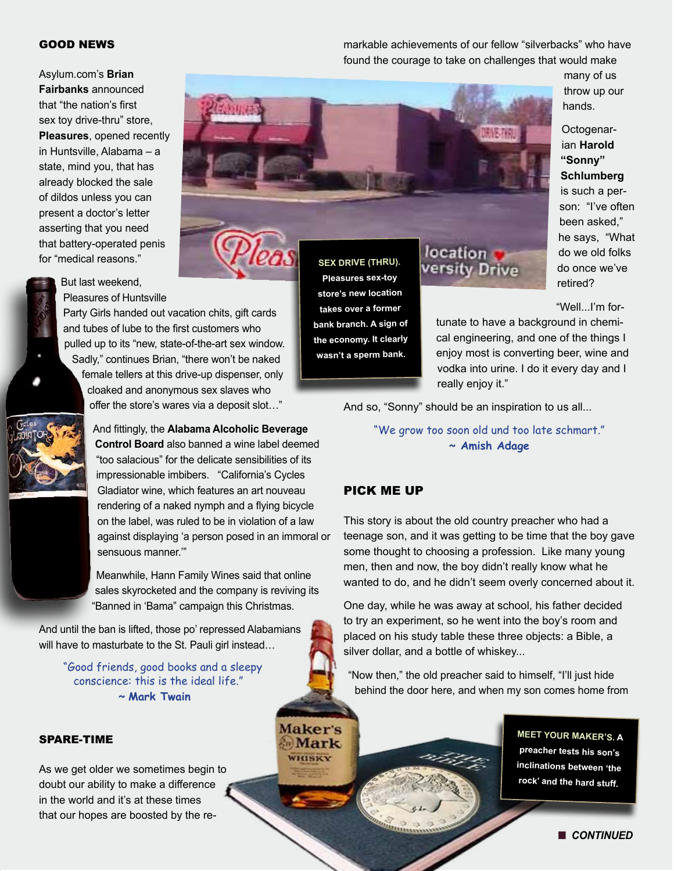#### GOOD NEWS

Asylum.com's **Brian Fairbanks** announced that "the nation's first sex toy drive-thru" store, **Pleasures**, opened recently in Huntsville, Alabama – a state, mind you, that has already blocked the sale of dildos unless you can present a doctor's letter asserting that you need that battery-operated penis for "medical reasons."



**"Sonny" Schlumberg**  is such a person: "I've often been asked," he says, "What do we old folks

"Well...I'm for-

retired?

tunate to have a background in chemical engineering, and one of the things I enjoy most is converting beer, wine and vodka into urine. I do it every day and I really enjoy it."

And so, "Sonny" should be an inspiration to us all...

"We grow too soon old und too late schmart." **~ Amish Adage**

markable achievements of our fellow "silverbacks" who have found the courage to take on challenges that would make

### PICK ME UP

Maker's **Mark** WHISKY

This story is about the old country preacher who had a teenage son, and it was getting to be time that the boy gave some thought to choosing a profession. Like many young men, then and now, the boy didn't really know what he wanted to do, and he didn't seem overly concerned about it.

One day, while he was away at school, his father decided to try an experiment, so he went into the boy's room and placed on his study table these three objects: a Bible, a silver dollar, and a bottle of whiskey...

"Now then," the old preacher said to himself, "I'll just hide behind the door here, and when my son comes home from

> **MEET YOUR MAKER'S. A preacher tests his son's inclinations between 'the rock' and the hard stuff.**



Pleasures of Huntsville

But last weekend,

Party Girls handed out vacation chits, gift cards and tubes of lube to the first customers who pulled up to its "new, state-of-the-art sex window. Sadly," continues Brian, "there won't be naked

female tellers at this drive-up dispenser, only cloaked and anonymous sex slaves who offer the store's wares via a deposit slot…"





And fittingly, the **Alabama Alcoholic Beverage Control Board** also banned a wine label deemed "too salacious" for the delicate sensibilities of its impressionable imbibers. "California's Cycles Gladiator wine, which features an art nouveau rendering of a naked nymph and a flying bicycle on the label, was ruled to be in violation of a law against displaying 'a person posed in an immoral or sensuous manner.'"

Meanwhile, Hann Family Wines said that online sales skyrocketed and the company is reviving its "Banned in 'Bama" campaign this Christmas.

And until the ban is lifted, those po' repressed Alabamians will have to masturbate to the St. Pauli girl instead...

"Good friends, good books and a sleepy conscience: this is the ideal life." **~ Mark Twain**

#### SPARE-TIME

As we get older we sometimes begin to doubt our ability to make a difference in the world and it's at these times that our hopes are boosted by the re-

**Pleasures sex-toy store's new location takes over a former bank branch. A sign of the economy. It clearly wasn't a sperm bank.**

many of us throw up our

hands. Octogenarian **Harold** 

n *CONTINUED*